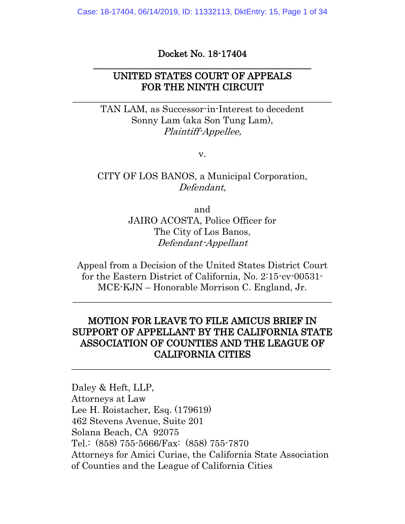Case: 18-17404, 06/14/2019, ID: 11332113, DktEntry: 15, Page 1 of 34

#### Docket No. 18-17404 \_\_\_\_\_\_\_\_\_\_\_\_\_\_\_\_\_\_\_\_\_\_\_\_\_\_\_\_\_\_\_\_\_\_\_\_\_\_\_\_\_\_\_\_\_\_\_

# UNITED STATES COURT OF APPEALS FOR THE NINTH CIRCUIT

 $\_$  , and the set of the set of the set of the set of the set of the set of the set of the set of the set of the set of the set of the set of the set of the set of the set of the set of the set of the set of the set of th

TAN LAM, as Successor-in-Interest to decedent Sonny Lam (aka Son Tung Lam), Plaintiff-Appellee,

v.

# CITY OF LOS BANOS, a Municipal Corporation, Defendant,

and JAIRO ACOSTA, Police Officer for The City of Los Banos, Defendant-Appellant

Appeal from a Decision of the United States District Court for the Eastern District of California, No. 2:15-cv-00531- MCE-KJN – Honorable Morrison C. England, Jr.

 $\_$  ,  $\_$  ,  $\_$  ,  $\_$  ,  $\_$  ,  $\_$  ,  $\_$  ,  $\_$  ,  $\_$  ,  $\_$  ,  $\_$  ,  $\_$  ,  $\_$  ,  $\_$  ,  $\_$  ,  $\_$  ,  $\_$  ,  $\_$  ,  $\_$ 

# MOTION FOR LEAVE TO FILE AMICUS BRIEF IN SUPPORT OF APPELLANT BY THE CALIFORNIA STATE ASSOCIATION OF COUNTIES AND THE LEAGUE OF CALIFORNIA CITIES

\_\_\_\_\_\_\_\_\_\_\_\_\_\_\_\_\_\_\_\_\_\_\_\_\_\_\_\_\_\_\_\_\_\_\_\_\_\_\_\_\_\_\_\_\_\_\_\_\_\_\_\_\_\_\_\_

Daley & Heft, LLP, Attorneys at Law Lee H. Roistacher, Esq. (179619) 462 Stevens Avenue, Suite 201 Solana Beach, CA 92075 Tel.: (858) 755-5666/Fax: (858) 755-7870 Attorneys for Amici Curiae, the California State Association of Counties and the League of California Cities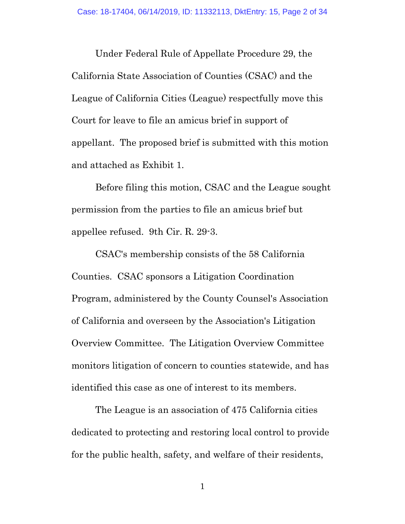Under Federal Rule of Appellate Procedure 29, the California State Association of Counties (CSAC) and the League of California Cities (League) respectfully move this Court for leave to file an amicus brief in support of appellant. The proposed brief is submitted with this motion and attached as Exhibit 1.

Before filing this motion, CSAC and the League sought permission from the parties to file an amicus brief but appellee refused. 9th Cir. R. 29-3.

CSAC's membership consists of the 58 California Counties. CSAC sponsors a Litigation Coordination Program, administered by the County Counsel's Association of California and overseen by the Association's Litigation Overview Committee. The Litigation Overview Committee monitors litigation of concern to counties statewide, and has identified this case as one of interest to its members.

The League is an association of 475 California cities dedicated to protecting and restoring local control to provide for the public health, safety, and welfare of their residents,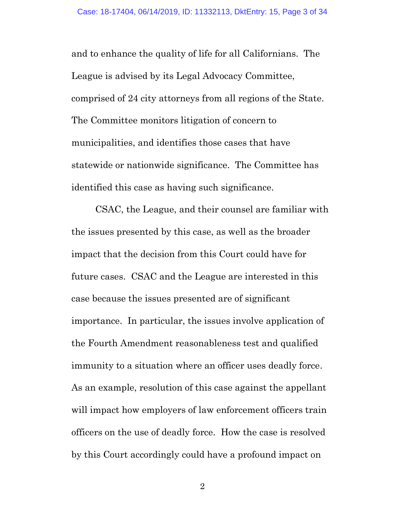and to enhance the quality of life for all Californians. The League is advised by its Legal Advocacy Committee, comprised of 24 city attorneys from all regions of the State. The Committee monitors litigation of concern to municipalities, and identifies those cases that have statewide or nationwide significance. The Committee has identified this case as having such significance.

CSAC, the League, and their counsel are familiar with the issues presented by this case, as well as the broader impact that the decision from this Court could have for future cases. CSAC and the League are interested in this case because the issues presented are of significant importance. In particular, the issues involve application of the Fourth Amendment reasonableness test and qualified immunity to a situation where an officer uses deadly force. As an example, resolution of this case against the appellant will impact how employers of law enforcement officers train officers on the use of deadly force. How the case is resolved by this Court accordingly could have a profound impact on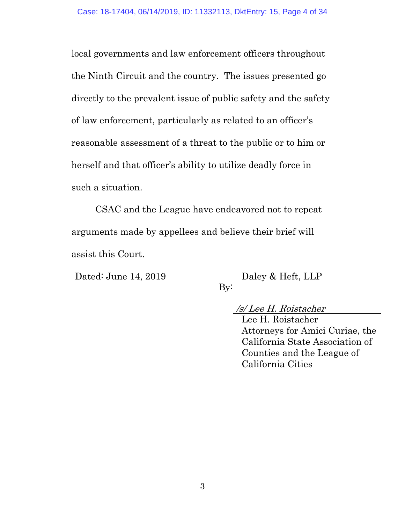local governments and law enforcement officers throughout the Ninth Circuit and the country. The issues presented go directly to the prevalent issue of public safety and the safety of law enforcement, particularly as related to an officer's reasonable assessment of a threat to the public or to him or herself and that officer's ability to utilize deadly force in such a situation.

CSAC and the League have endeavored not to repeat arguments made by appellees and believe their brief will assist this Court.

Dated: June 14, 2019 Daley & Heft, LLP

 $By:$ 

/s/ Lee H. Roistacher Lee H. Roistacher Attorneys for Amici Curiae, the California State Association of Counties and the League of California Cities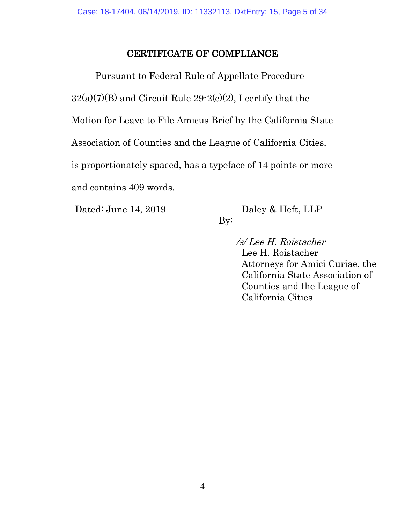# CERTIFICATE OF COMPLIANCE

Pursuant to Federal Rule of Appellate Procedure  $32(a)(7)(B)$  and Circuit Rule  $29-2(c)(2)$ , I certify that the Motion for Leave to File Amicus Brief by the California State Association of Counties and the League of California Cities, is proportionately spaced, has a typeface of 14 points or more and contains 409 words.

Dated: June 14, 2019 Daley & Heft, LLP

By:

/s/ Lee H. Roistacher

Lee H. Roistacher Attorneys for Amici Curiae, the California State Association of Counties and the League of California Cities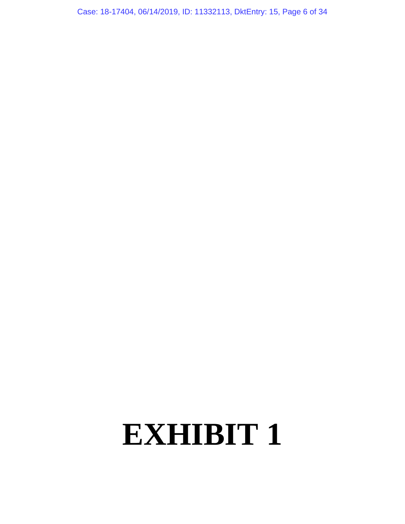Case: 18-17404, 06/14/2019, ID: 11332113, DktEntry: 15, Page 6 of 34

# **EXHIBIT 1**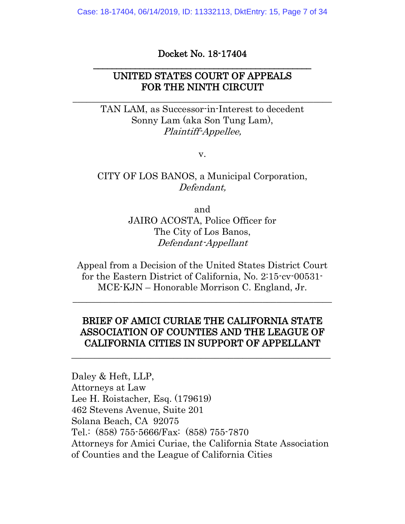Case: 18-17404, 06/14/2019, ID: 11332113, DktEntry: 15, Page 7 of 34

#### Docket No. 18-17404 \_\_\_\_\_\_\_\_\_\_\_\_\_\_\_\_\_\_\_\_\_\_\_\_\_\_\_\_\_\_\_\_\_\_\_\_\_\_\_\_\_\_\_\_\_\_\_

# UNITED STATES COURT OF APPEALS FOR THE NINTH CIRCUIT

 $\_$  , and the set of the set of the set of the set of the set of the set of the set of the set of the set of the set of the set of the set of the set of the set of the set of the set of the set of the set of the set of th

TAN LAM, as Successor-in-Interest to decedent Sonny Lam (aka Son Tung Lam), Plaintiff-Appellee,

v.

# CITY OF LOS BANOS, a Municipal Corporation, Defendant,

and JAIRO ACOSTA, Police Officer for The City of Los Banos, Defendant-Appellant

Appeal from a Decision of the United States District Court for the Eastern District of California, No. 2:15-cv-00531- MCE-KJN – Honorable Morrison C. England, Jr.

 $\_$  ,  $\_$  ,  $\_$  ,  $\_$  ,  $\_$  ,  $\_$  ,  $\_$  ,  $\_$  ,  $\_$  ,  $\_$  ,  $\_$  ,  $\_$  ,  $\_$  ,  $\_$  ,  $\_$  ,  $\_$  ,  $\_$  ,  $\_$  ,  $\_$ 

# BRIEF OF AMICI CURIAE THE CALIFORNIA STATE ASSOCIATION OF COUNTIES AND THE LEAGUE OF CALIFORNIA CITIES IN SUPPORT OF APPELLANT

\_\_\_\_\_\_\_\_\_\_\_\_\_\_\_\_\_\_\_\_\_\_\_\_\_\_\_\_\_\_\_\_\_\_\_\_\_\_\_\_\_\_\_\_\_\_\_\_\_\_\_\_\_\_\_\_

Daley & Heft, LLP, Attorneys at Law Lee H. Roistacher, Esq. (179619) 462 Stevens Avenue, Suite 201 Solana Beach, CA 92075 Tel.: (858) 755-5666/Fax: (858) 755-7870 Attorneys for Amici Curiae, the California State Association of Counties and the League of California Cities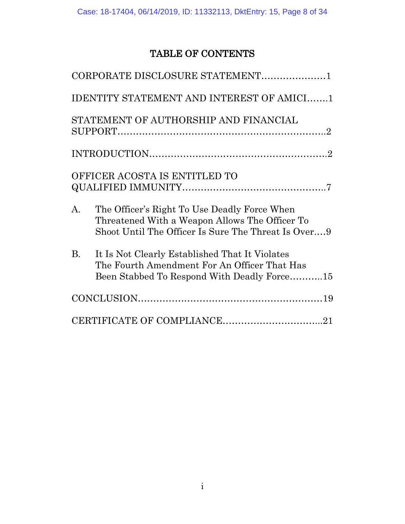# TABLE OF CONTENTS

|                | CORPORATE DISCLOSURE STATEMENT1                                                                                                                       |  |
|----------------|-------------------------------------------------------------------------------------------------------------------------------------------------------|--|
|                | <b>IDENTITY STATEMENT AND INTEREST OF AMICI1</b>                                                                                                      |  |
|                | STATEMENT OF AUTHORSHIP AND FINANCIAL                                                                                                                 |  |
|                |                                                                                                                                                       |  |
|                | OFFICER ACOSTA IS ENTITLED TO                                                                                                                         |  |
| $\mathbf{A}$ . | The Officer's Right To Use Deadly Force When<br>Threatened With a Weapon Allows The Officer To<br>Shoot Until The Officer Is Sure The Threat Is Over9 |  |
| <b>B.</b>      | It Is Not Clearly Established That It Violates<br>The Fourth Amendment For An Officer That Has<br>Been Stabbed To Respond With Deadly Force15         |  |
|                |                                                                                                                                                       |  |
|                | CERTIFICATE OF COMPLIANCE21                                                                                                                           |  |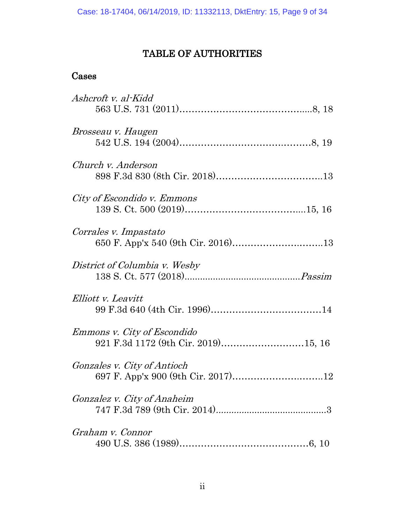# TABLE OF AUTHORITIES

# Cases

| Ashcroft v. al-Kidd                                                       |
|---------------------------------------------------------------------------|
| <i>Brosseau v. Haugen</i>                                                 |
| Church v. Anderson                                                        |
| City of Escondido v. Emmons                                               |
| Corrales v. Impastato                                                     |
| District of Columbia v. Wesby                                             |
| Elliott v. Leavitt                                                        |
| <i>Emmons v. City of Escondido</i><br>921 F.3d 1172 (9th Cir. 2019)15, 16 |
| <i>Gonzales v. City of Antioch</i>                                        |
| <i>Gonzalez v. City of Anaheim</i>                                        |
| Graham v. Connor                                                          |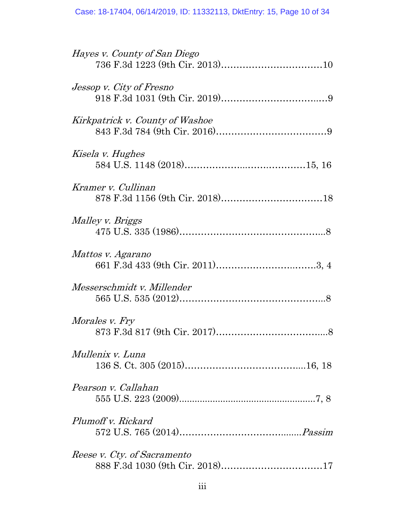| Hayes v. County of San Diego    |
|---------------------------------|
| Jessop v. City of Fresno        |
| Kirkpatrick v. County of Washoe |
| Kisela v. Hughes                |
| Kramer v. Cullinan              |
| Malley v. Briggs                |
| Mattos v. Agarano               |
| Messerschmidt v. Millender      |
| <i>Morales v. Fry</i>           |
| Mullenix v. Luna                |
| Pearson v. Callahan             |
| Plumoff v. Rickard              |
| Reese v. Cty. of Sacramento     |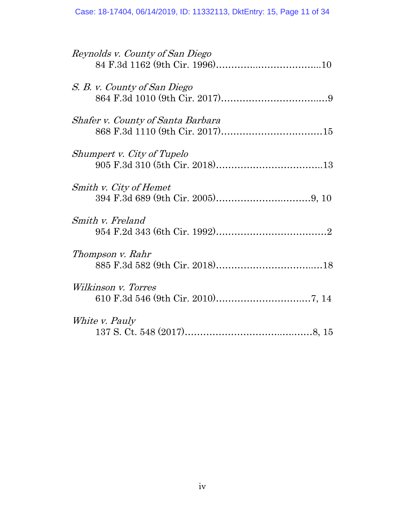| Reynolds v. County of San Diego          |
|------------------------------------------|
| S. B. v. County of San Diego             |
| <i>Shafer v. County of Santa Barbara</i> |
| Shumpert v. City of Tupelo               |
| Smith v. City of Hemet                   |
| Smith v. Freland                         |
| Thompson v. Rahr                         |
| Wilkinson v. Torres                      |
| White v. Pauly                           |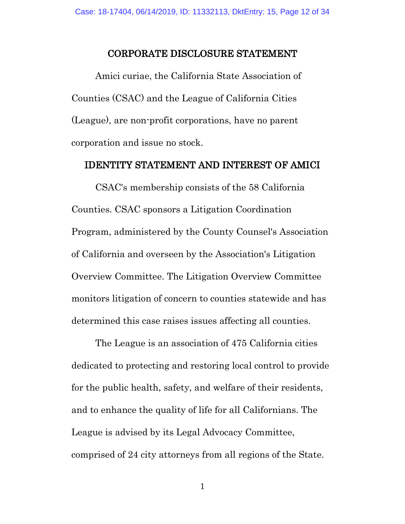#### CORPORATE DISCLOSURE STATEMENT

Amici curiae, the California State Association of Counties (CSAC) and the League of California Cities (League), are non-profit corporations, have no parent corporation and issue no stock.

#### IDENTITY STATEMENT AND INTEREST OF AMICI

CSAC's membership consists of the 58 California Counties. CSAC sponsors a Litigation Coordination Program, administered by the County Counsel's Association of California and overseen by the Association's Litigation Overview Committee. The Litigation Overview Committee monitors litigation of concern to counties statewide and has determined this case raises issues affecting all counties.

The League is an association of 475 California cities dedicated to protecting and restoring local control to provide for the public health, safety, and welfare of their residents, and to enhance the quality of life for all Californians. The League is advised by its Legal Advocacy Committee, comprised of 24 city attorneys from all regions of the State.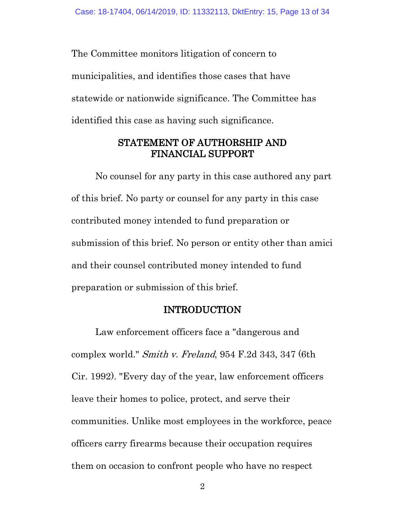The Committee monitors litigation of concern to municipalities, and identifies those cases that have statewide or nationwide significance. The Committee has identified this case as having such significance.

# STATEMENT OF AUTHORSHIP AND FINANCIAL SUPPORT

No counsel for any party in this case authored any part of this brief. No party or counsel for any party in this case contributed money intended to fund preparation or submission of this brief. No person or entity other than amici and their counsel contributed money intended to fund preparation or submission of this brief.

#### INTRODUCTION

Law enforcement officers face a "dangerous and complex world." Smith v. Freland, 954 F.2d 343, 347 (6th Cir. 1992). "Every day of the year, law enforcement officers leave their homes to police, protect, and serve their communities. Unlike most employees in the workforce, peace officers carry firearms because their occupation requires them on occasion to confront people who have no respect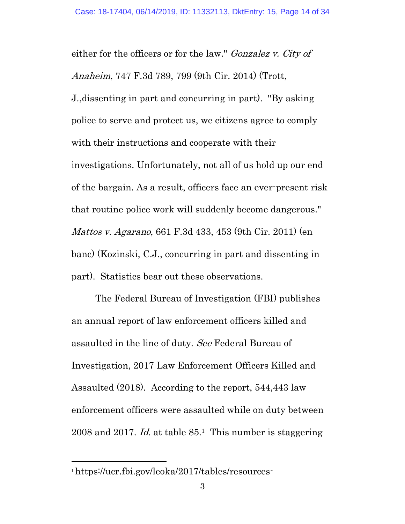either for the officers or for the law." Gonzalez v. City of Anaheim, 747 F.3d 789, 799 (9th Cir. 2014) (Trott, J.,dissenting in part and concurring in part). "By asking police to serve and protect us, we citizens agree to comply with their instructions and cooperate with their investigations. Unfortunately, not all of us hold up our end of the bargain. As a result, officers face an ever-present risk that routine police work will suddenly become dangerous." Mattos v. Agarano, 661 F.3d 433, 453 (9th Cir. 2011) (en banc) (Kozinski, C.J., concurring in part and dissenting in part). Statistics bear out these observations.

The Federal Bureau of Investigation (FBI) publishes an annual report of law enforcement officers killed and assaulted in the line of duty. See Federal Bureau of Investigation, 2017 Law Enforcement Officers Killed and Assaulted (2018). According to the report, 544,443 law enforcement officers were assaulted while on duty between 2008 and 2017. *Id.* at table  $85<sup>1</sup>$ . This number is staggering

<sup>1</sup> https://ucr.fbi.gov/leoka/2017/tables/resources-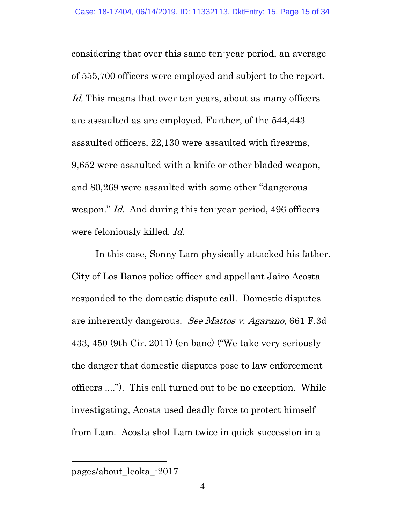considering that over this same ten-year period, an average of 555,700 officers were employed and subject to the report. Id. This means that over ten years, about as many officers are assaulted as are employed. Further, of the 544,443 assaulted officers, 22,130 were assaulted with firearms, 9,652 were assaulted with a knife or other bladed weapon, and 80,269 were assaulted with some other "dangerous weapon." *Id.* And during this ten-year period, 496 officers were feloniously killed. Id.

In this case, Sonny Lam physically attacked his father. City of Los Banos police officer and appellant Jairo Acosta responded to the domestic dispute call. Domestic disputes are inherently dangerous. See Mattos v. Agarano, 661 F.3d 433, 450 (9th Cir. 2011) (en banc) ("We take very seriously the danger that domestic disputes pose to law enforcement officers ...."). This call turned out to be no exception. While investigating, Acosta used deadly force to protect himself from Lam. Acosta shot Lam twice in quick succession in a

pages/about\_leoka\_-2017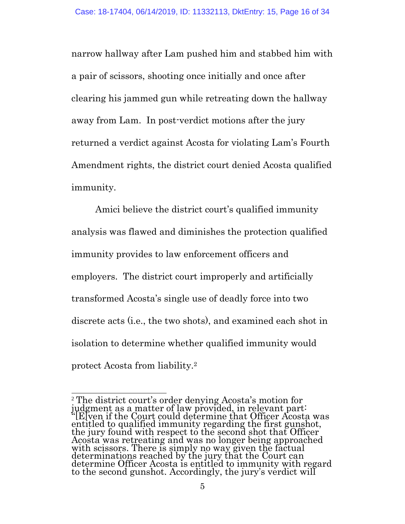narrow hallway after Lam pushed him and stabbed him with a pair of scissors, shooting once initially and once after clearing his jammed gun while retreating down the hallway away from Lam. In post-verdict motions after the jury returned a verdict against Acosta for violating Lam's Fourth Amendment rights, the district court denied Acosta qualified immunity.

Amici believe the district court's qualified immunity analysis was flawed and diminishes the protection qualified immunity provides to law enforcement officers and employers. The district court improperly and artificially transformed Acosta's single use of deadly force into two discrete acts (i.e., the two shots), and examined each shot in isolation to determine whether qualified immunity would protect Acosta from liability.<sup>2</sup>

<sup>2</sup> The district court's order denying Acosta's motion for judgment as a matter of law provided, in relevant part: "[E]ven if the Court could determine that Officer Acosta was entitled to qualified immunity regarding the first gunshot, the jury found with respect to the second shot that Officer Acosta was retreating and was no longer being approached with scissors. There is simply no way given the factual determinations reached by the jury that the Court can determine Officer Acosta is entitled to immunity with regard to the second gunshot. Accordingly, the jury's verdict will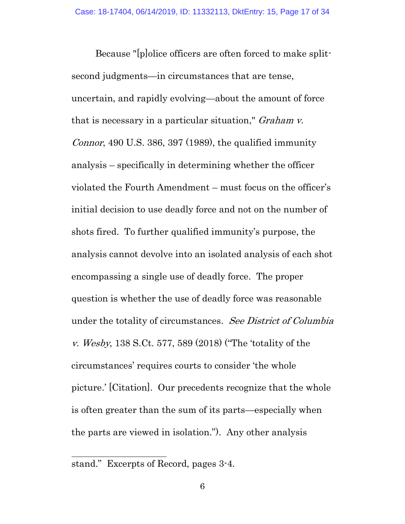Because "[p]olice officers are often forced to make splitsecond judgments—in circumstances that are tense, uncertain, and rapidly evolving—about the amount of force that is necessary in a particular situation," Graham v. Connor, 490 U.S. 386, 397 (1989), the qualified immunity analysis – specifically in determining whether the officer violated the Fourth Amendment – must focus on the officer's initial decision to use deadly force and not on the number of shots fired. To further qualified immunity's purpose, the analysis cannot devolve into an isolated analysis of each shot encompassing a single use of deadly force. The proper question is whether the use of deadly force was reasonable under the totality of circumstances. See District of Columbia v. Wesby, 138 S.Ct. 577, 589 (2018) ("The 'totality of the circumstances' requires courts to consider 'the whole picture.' [Citation]. Our precedents recognize that the whole is often greater than the sum of its parts—especially when the parts are viewed in isolation."). Any other analysis

 $\overline{a}$ stand." Excerpts of Record, pages 3-4.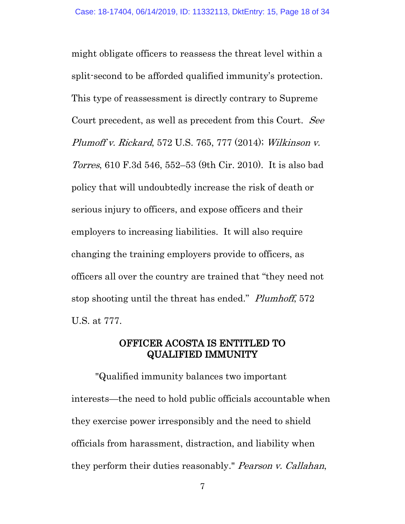might obligate officers to reassess the threat level within a split-second to be afforded qualified immunity's protection. This type of reassessment is directly contrary to Supreme Court precedent, as well as precedent from this Court. See Plumoff v. Rickard, 572 U.S. 765, 777 (2014); Wilkinson v. Torres, 610 F.3d 546, 552–53 (9th Cir. 2010). It is also bad policy that will undoubtedly increase the risk of death or serious injury to officers, and expose officers and their employers to increasing liabilities. It will also require changing the training employers provide to officers, as officers all over the country are trained that "they need not stop shooting until the threat has ended." Plumhoff, 572 U.S. at 777.

#### OFFICER ACOSTA IS ENTITLED TO QUALIFIED IMMUNITY

"Qualified immunity balances two important interests—the need to hold public officials accountable when they exercise power irresponsibly and the need to shield officials from harassment, distraction, and liability when they perform their duties reasonably." Pearson v. Callahan,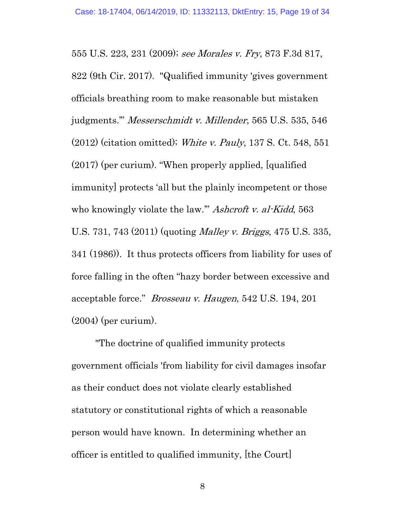555 U.S. 223, 231 (2009); see Morales v. Fry, 873 F.3d 817, 822 (9th Cir. 2017). "Qualified immunity 'gives government officials breathing room to make reasonable but mistaken judgments.'" Messerschmidt v. Millender, 565 U.S. 535, 546 (2012) (citation omitted); White v. Pauly, 137 S. Ct. 548, 551 (2017) (per curium). "When properly applied, [qualified immunity] protects 'all but the plainly incompetent or those who knowingly violate the law." Ashcroft v. al-Kidd, 563 U.S. 731, 743 (2011) (quoting *Malley v. Briggs*, 475 U.S. 335, 341 (1986)). It thus protects officers from liability for uses of force falling in the often "hazy border between excessive and acceptable force." Brosseau v. Haugen, 542 U.S. 194, 201 (2004) (per curium).

"The doctrine of qualified immunity protects government officials 'from liability for civil damages insofar as their conduct does not violate clearly established statutory or constitutional rights of which a reasonable person would have known. In determining whether an officer is entitled to qualified immunity, [the Court]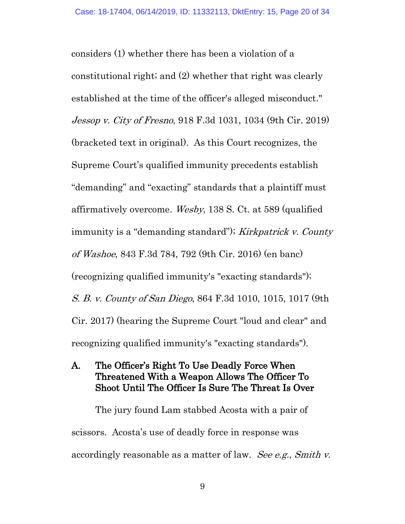considers (1) whether there has been a violation of a constitutional right; and (2) whether that right was clearly established at the time of the officer's alleged misconduct." Jessop v. City of Fresno, 918 F.3d 1031, 1034 (9th Cir. 2019) (bracketed text in original). As this Court recognizes, the Supreme Court's qualified immunity precedents establish "demanding" and "exacting" standards that a plaintiff must affirmatively overcome. Wesby, 138 S. Ct. at 589 (qualified immunity is a "demanding standard"); Kirkpatrick v. County of Washoe, 843 F.3d 784, 792 (9th Cir. 2016) (en banc) (recognizing qualified immunity's "exacting standards"); S. B. v. County of San Diego, 864 F.3d 1010, 1015, 1017 (9th Cir. 2017) (hearing the Supreme Court "loud and clear" and recognizing qualified immunity's "exacting standards").

A. The Officer's Right To Use Deadly Force When Threatened With a Weapon Allows The Officer To Shoot Until The Officer Is Sure The Threat Is Over

The jury found Lam stabbed Acosta with a pair of scissors. Acosta's use of deadly force in response was accordingly reasonable as a matter of law. See e.g., Smith v.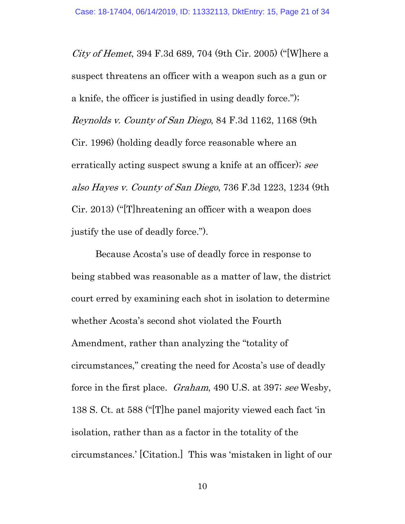City of Hemet, 394 F.3d 689, 704 (9th Cir. 2005) ("[W]here a suspect threatens an officer with a weapon such as a gun or a knife, the officer is justified in using deadly force."); Reynolds v. County of San Diego, 84 F.3d 1162, 1168 (9th Cir. 1996) (holding deadly force reasonable where an erratically acting suspect swung a knife at an officer); see also Hayes v. County of San Diego, 736 F.3d 1223, 1234 (9th Cir. 2013) ("[T]hreatening an officer with a weapon does justify the use of deadly force.").

Because Acosta's use of deadly force in response to being stabbed was reasonable as a matter of law, the district court erred by examining each shot in isolation to determine whether Acosta's second shot violated the Fourth Amendment, rather than analyzing the "totality of circumstances," creating the need for Acosta's use of deadly force in the first place. Graham, 490 U.S. at 397; see Wesby, 138 S. Ct. at 588 ("[T]he panel majority viewed each fact 'in isolation, rather than as a factor in the totality of the circumstances.' [Citation.] This was 'mistaken in light of our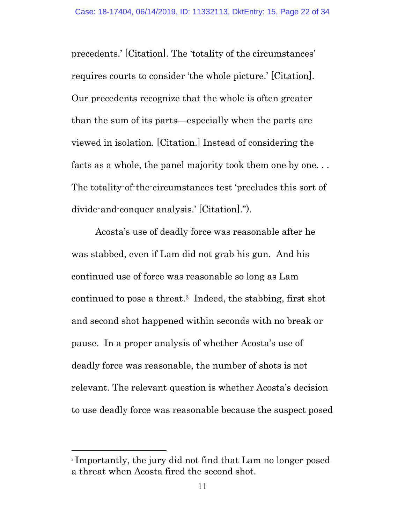precedents.' [Citation]. The 'totality of the circumstances' requires courts to consider 'the whole picture.' [Citation]. Our precedents recognize that the whole is often greater than the sum of its parts—especially when the parts are viewed in isolation. [Citation.] Instead of considering the facts as a whole, the panel majority took them one by one. . . The totality-of-the-circumstances test 'precludes this sort of divide-and-conquer analysis.' [Citation].").

Acosta's use of deadly force was reasonable after he was stabbed, even if Lam did not grab his gun. And his continued use of force was reasonable so long as Lam continued to pose a threat.3 Indeed, the stabbing, first shot and second shot happened within seconds with no break or pause. In a proper analysis of whether Acosta's use of deadly force was reasonable, the number of shots is not relevant. The relevant question is whether Acosta's decision to use deadly force was reasonable because the suspect posed

<sup>3</sup> Importantly, the jury did not find that Lam no longer posed a threat when Acosta fired the second shot.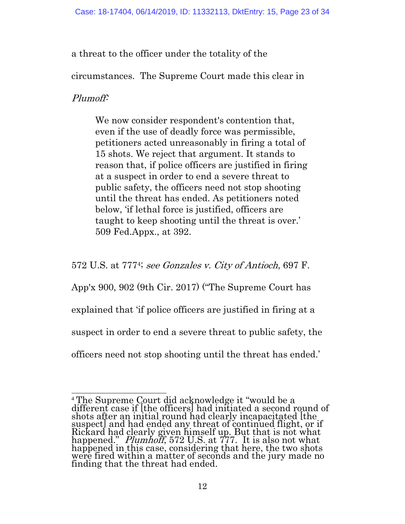a threat to the officer under the totality of the

circumstances. The Supreme Court made this clear in

# Plumoff:

We now consider respondent's contention that, even if the use of deadly force was permissible, petitioners acted unreasonably in firing a total of 15 shots. We reject that argument. It stands to reason that, if police officers are justified in firing at a suspect in order to end a severe threat to public safety, the officers need not stop shooting until the threat has ended. As petitioners noted below, 'if lethal force is justified, officers are taught to keep shooting until the threat is over.' 509 Fed.Appx., at 392.

572 U.S. at 7774; see Gonzales v. City of Antioch, 697 F.

App'x 900, 902 (9th Cir. 2017) ("The Supreme Court has

explained that 'if police officers are justified in firing at a

suspect in order to end a severe threat to public safety, the

officers need not stop shooting until the threat has ended.'

 $\overline{a}$ <sup>4</sup> The Supreme Court did acknowledge it "would be a different case if [the officers] had initiated a second round of shots after an initial round had clearly incapacitated [the suspect] and had ended any threat of continued flight, or if Rickard had clearly given himself up. But that is not what happened." *Plumhoff*, 572 U.S. at 777. It is also not what happened in this case, considering that here, the two shots were fired within a matter of seconds and the jury made no finding that the threat had ended.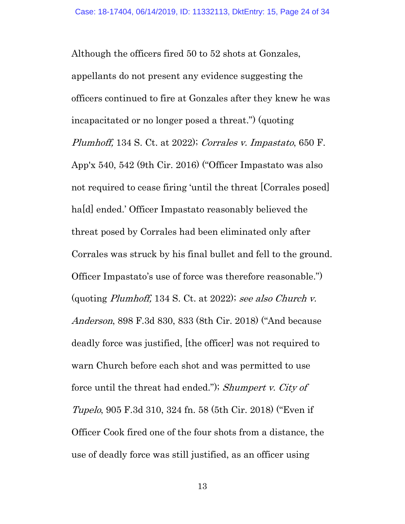Although the officers fired 50 to 52 shots at Gonzales, appellants do not present any evidence suggesting the officers continued to fire at Gonzales after they knew he was incapacitated or no longer posed a threat.") (quoting Plumhoff, 134 S. Ct. at 2022); Corrales v. Impastato, 650 F. App'x 540, 542 (9th Cir. 2016) ("Officer Impastato was also not required to cease firing 'until the threat [Corrales posed] ha<sup>[d]</sup> ended.' Officer Impastato reasonably believed the threat posed by Corrales had been eliminated only after Corrales was struck by his final bullet and fell to the ground. Officer Impastato's use of force was therefore reasonable.") (quoting Plumhoff, 134 S. Ct. at 2022); see also Church v. Anderson, 898 F.3d 830, 833 (8th Cir. 2018) ("And because deadly force was justified, [the officer] was not required to warn Church before each shot and was permitted to use force until the threat had ended."); Shumpert v. City of Tupelo, 905 F.3d 310, 324 fn. 58 (5th Cir. 2018) ("Even if Officer Cook fired one of the four shots from a distance, the use of deadly force was still justified, as an officer using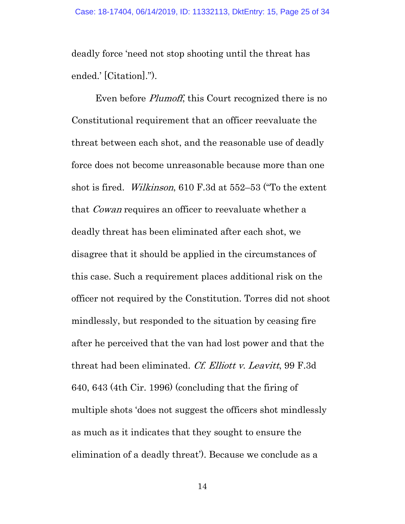deadly force 'need not stop shooting until the threat has ended.' [Citation].").

Even before *Plumoff*, this Court recognized there is no Constitutional requirement that an officer reevaluate the threat between each shot, and the reasonable use of deadly force does not become unreasonable because more than one shot is fired. Wilkinson, 610 F.3d at 552–53 ("To the extent that Cowan requires an officer to reevaluate whether a deadly threat has been eliminated after each shot, we disagree that it should be applied in the circumstances of this case. Such a requirement places additional risk on the officer not required by the Constitution. Torres did not shoot mindlessly, but responded to the situation by ceasing fire after he perceived that the van had lost power and that the threat had been eliminated. Cf. Elliott v. Leavitt, 99 F.3d 640, 643 (4th Cir. 1996) (concluding that the firing of multiple shots 'does not suggest the officers shot mindlessly as much as it indicates that they sought to ensure the elimination of a deadly threat'). Because we conclude as a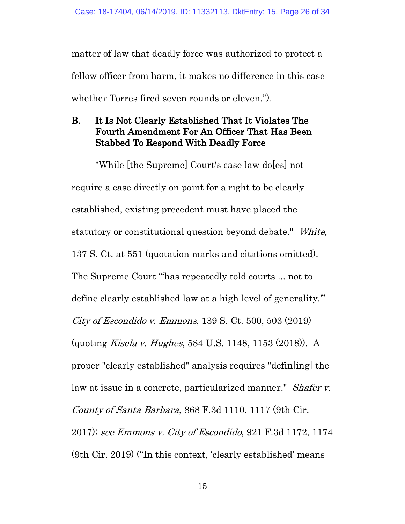matter of law that deadly force was authorized to protect a fellow officer from harm, it makes no difference in this case whether Torres fired seven rounds or eleven.").

# B. It Is Not Clearly Established That It Violates The Fourth Amendment For An Officer That Has Been Stabbed To Respond With Deadly Force

"While [the Supreme] Court's case law do[es] not require a case directly on point for a right to be clearly established, existing precedent must have placed the statutory or constitutional question beyond debate." White, 137 S. Ct. at 551 (quotation marks and citations omitted). The Supreme Court "'has repeatedly told courts ... not to define clearly established law at a high level of generality.'" City of Escondido v. Emmons, 139 S. Ct. 500, 503 (2019) (quoting Kisela v. Hughes, 584 U.S. 1148, 1153 (2018)). A proper "clearly established" analysis requires "defin[ing] the law at issue in a concrete, particularized manner." *Shafer v.* County of Santa Barbara, 868 F.3d 1110, 1117 (9th Cir. 2017); see Emmons v. City of Escondido, 921 F.3d 1172, 1174 (9th Cir. 2019) ("In this context, 'clearly established' means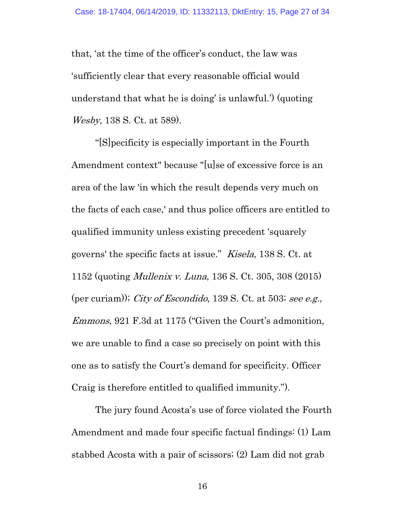that, 'at the time of the officer's conduct, the law was 'sufficiently clear that every reasonable official would understand that what he is doing' is unlawful.') (quoting Wesby, 138 S. Ct. at 589).

"[S]pecificity is especially important in the Fourth Amendment context" because "[u]se of excessive force is an area of the law 'in which the result depends very much on the facts of each case,' and thus police officers are entitled to qualified immunity unless existing precedent 'squarely governs' the specific facts at issue." Kisela, 138 S. Ct. at 1152 (quoting Mullenix v. Luna, 136 S. Ct. 305, 308 (2015) (per curiam)); City of Escondido, 139 S. Ct. at 503; see e.g., Emmons, 921 F.3d at 1175 ("Given the Court's admonition, we are unable to find a case so precisely on point with this one as to satisfy the Court's demand for specificity. Officer Craig is therefore entitled to qualified immunity.").

The jury found Acosta's use of force violated the Fourth Amendment and made four specific factual findings: (1) Lam stabbed Acosta with a pair of scissors; (2) Lam did not grab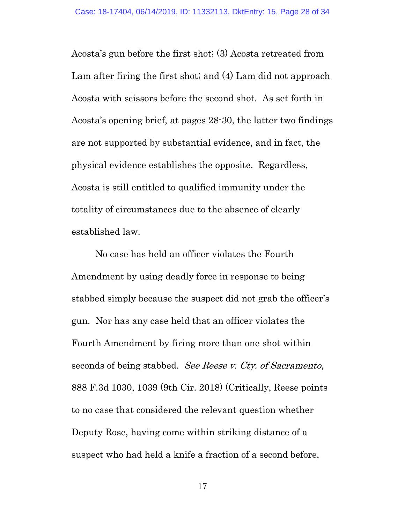Acosta's gun before the first shot; (3) Acosta retreated from Lam after firing the first shot; and (4) Lam did not approach Acosta with scissors before the second shot. As set forth in Acosta's opening brief, at pages 28-30, the latter two findings are not supported by substantial evidence, and in fact, the physical evidence establishes the opposite. Regardless, Acosta is still entitled to qualified immunity under the totality of circumstances due to the absence of clearly established law.

No case has held an officer violates the Fourth Amendment by using deadly force in response to being stabbed simply because the suspect did not grab the officer's gun. Nor has any case held that an officer violates the Fourth Amendment by firing more than one shot within seconds of being stabbed. See Reese v. Cty. of Sacramento, 888 F.3d 1030, 1039 (9th Cir. 2018) (Critically, Reese points to no case that considered the relevant question whether Deputy Rose, having come within striking distance of a suspect who had held a knife a fraction of a second before,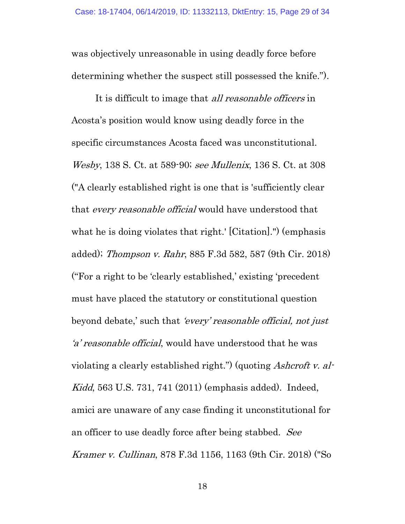was objectively unreasonable in using deadly force before determining whether the suspect still possessed the knife.").

It is difficult to image that *all reasonable officers* in Acosta's position would know using deadly force in the specific circumstances Acosta faced was unconstitutional. Wesby, 138 S. Ct. at 589-90; see Mullenix, 136 S. Ct. at 308 ("A clearly established right is one that is 'sufficiently clear that every reasonable official would have understood that what he is doing violates that right.' [Citation].'') (emphasis added); Thompson v. Rahr, 885 F.3d 582, 587 (9th Cir. 2018) ("For a right to be 'clearly established,' existing 'precedent must have placed the statutory or constitutional question beyond debate,' such that 'every' reasonable official, not just 'a' reasonable official, would have understood that he was violating a clearly established right.") (quoting Ashcroft v. al-Kidd, 563 U.S. 731, 741 (2011) (emphasis added). Indeed, amici are unaware of any case finding it unconstitutional for an officer to use deadly force after being stabbed. See Kramer v. Cullinan, 878 F.3d 1156, 1163 (9th Cir. 2018) ("So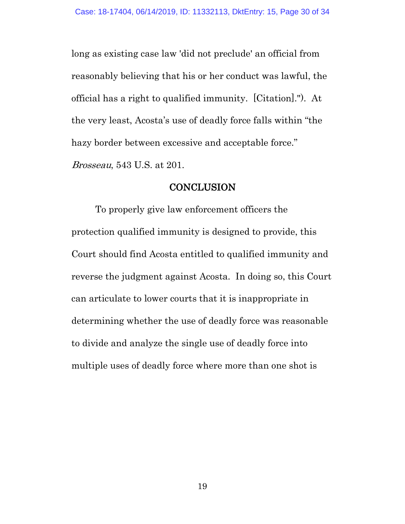long as existing case law 'did not preclude' an official from reasonably believing that his or her conduct was lawful, the official has a right to qualified immunity. [Citation]."). At the very least, Acosta's use of deadly force falls within "the hazy border between excessive and acceptable force." Brosseau, 543 U.S. at 201.

#### **CONCLUSION**

To properly give law enforcement officers the protection qualified immunity is designed to provide, this Court should find Acosta entitled to qualified immunity and reverse the judgment against Acosta. In doing so, this Court can articulate to lower courts that it is inappropriate in determining whether the use of deadly force was reasonable to divide and analyze the single use of deadly force into multiple uses of deadly force where more than one shot is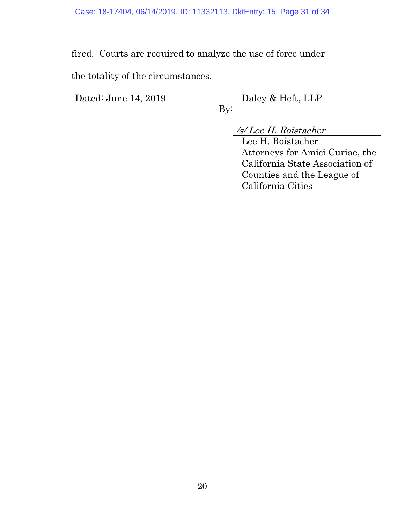fired. Courts are required to analyze the use of force under

By:

the totality of the circumstances.

Dated: June 14, 2019 Daley & Heft, LLP

/s/ Lee H. Roistacher

Lee H. Roistacher Attorneys for Amici Curiae, the California State Association of Counties and the League of California Cities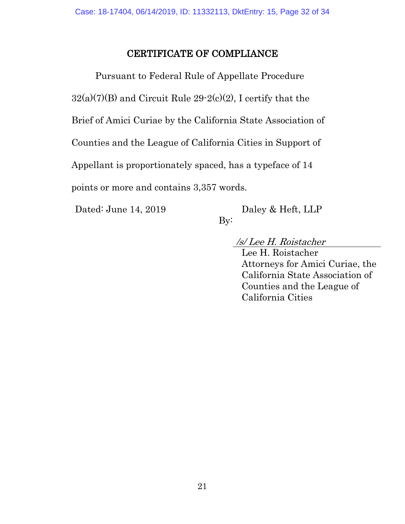# CERTIFICATE OF COMPLIANCE

Pursuant to Federal Rule of Appellate Procedure  $32(a)(7)(B)$  and Circuit Rule  $29-2(c)(2)$ , I certify that the Brief of Amici Curiae by the California State Association of Counties and the League of California Cities in Support of Appellant is proportionately spaced, has a typeface of 14 points or more and contains 3,357 words.

By:

Dated: June 14, 2019 Daley & Heft, LLP

/s/ Lee H. Roistacher

Lee H. Roistacher Attorneys for Amici Curiae, the California State Association of Counties and the League of California Cities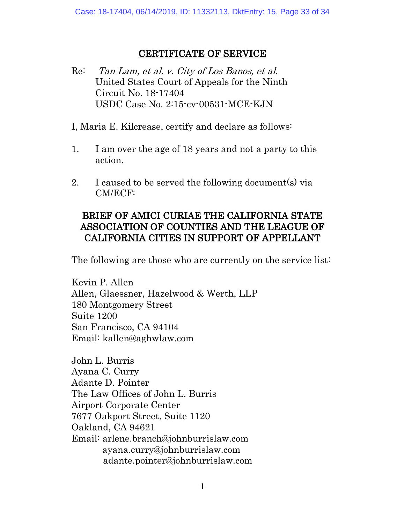# CERTIFICATE OF SERVICE

- Re: Tan Lam, et al. v. City of Los Banos, et al. United States Court of Appeals for the Ninth Circuit No. 18-17404 USDC Case No. 2:15-cv-00531-MCE-KJN
- I, Maria E. Kilcrease, certify and declare as follows:
- 1. I am over the age of 18 years and not a party to this action.
- 2. I caused to be served the following document(s) via CM/ECF:

# BRIEF OF AMICI CURIAE THE CALIFORNIA STATE ASSOCIATION OF COUNTIES AND THE LEAGUE OF CALIFORNIA CITIES IN SUPPORT OF APPELLANT

The following are those who are currently on the service list:

Kevin P. Allen Allen, Glaessner, Hazelwood & Werth, LLP 180 Montgomery Street Suite 1200 San Francisco, CA 94104 Email: kallen@aghwlaw.com

John L. Burris Ayana C. Curry Adante D. Pointer The Law Offices of John L. Burris Airport Corporate Center 7677 Oakport Street, Suite 1120 Oakland, CA 94621 Email: arlene.branch@johnburrislaw.com ayana.curry@johnburrislaw.com adante.pointer@johnburrislaw.com